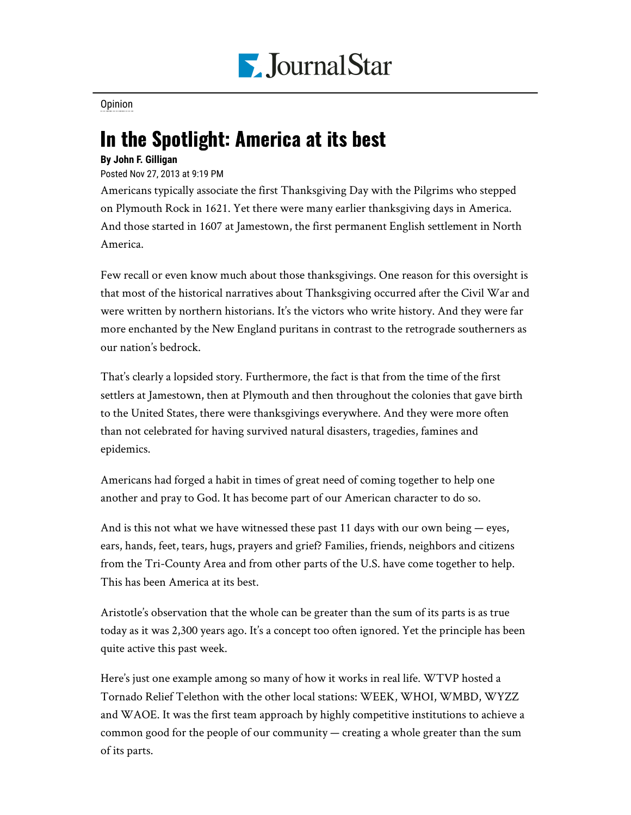

**[Opinion](https://www.pjstar.com/search?text=Opinion)** 

## In the Spotlight: America at its best

## **By John F. Gilligan**

Posted Nov 27, 2013 at 9:19 PM

Americans typically associate the first Thanksgiving Day with the Pilgrims who stepped on Plymouth Rock in 1621. Yet there were many earlier thanksgiving days in America. And those started in 1607 at Jamestown, the first permanent English settlement in North America.

Few recall or even know much about those thanksgivings. One reason for this oversight is that most of the historical narratives about Thanksgiving occurred after the Civil War and were written by northern historians. It's the victors who write history. And they were far more enchanted by the New England puritans in contrast to the retrograde southerners as our nation's bedrock.

That's clearly a lopsided story. Furthermore, the fact is that from the time of the first settlers at Jamestown, then at Plymouth and then throughout the colonies that gave birth to the United States, there were thanksgivings everywhere. And they were more often than not celebrated for having survived natural disasters, tragedies, famines and epidemics.

Americans had forged a habit in times of great need of coming together to help one another and pray to God. It has become part of our American character to do so.

And is this not what we have witnessed these past 11 days with our own being  $-$  eyes, ears, hands, feet, tears, hugs, prayers and grief? Families, friends, neighbors and citizens from the Tri-County Area and from other parts of the U.S. have come together to help. This has been America at its best.

Aristotle's observation that the whole can be greater than the sum of its parts is as true today as it was 2,300 years ago. It's a concept too often ignored. Yet the principle has been quite active this past week.

Here's just one example among so many of how it works in real life. WTVP hosted a Tornado Relief Telethon with the other local stations: WEEK, WHOI, WMBD, WYZZ and WAOE. It was the first team approach by highly competitive institutions to achieve a common good for the people of our community — creating a whole greater than the sum of its parts.